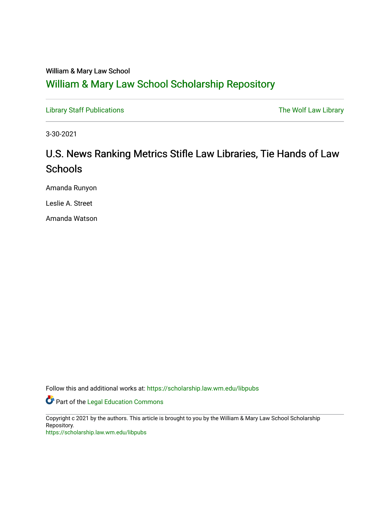## William & Mary Law School

## [William & Mary Law School Scholarship Repository](https://scholarship.law.wm.edu/)

[Library Staff Publications](https://scholarship.law.wm.edu/libpubs) **The Wolf Law Library** Channel Communist Channel Channel Channel Channel Channel Channel Channel Channel Channel Channel Channel Channel Channel Channel Channel Channel Channel Channel Channel Ch

3-30-2021

# U.S. News Ranking Metrics Stifle Law Libraries, Tie Hands of Law **Schools**

Amanda Runyon

Leslie A. Street

Amanda Watson

Follow this and additional works at: [https://scholarship.law.wm.edu/libpubs](https://scholarship.law.wm.edu/libpubs?utm_source=scholarship.law.wm.edu%2Flibpubs%2F146&utm_medium=PDF&utm_campaign=PDFCoverPages) 

Part of the [Legal Education Commons](http://network.bepress.com/hgg/discipline/857?utm_source=scholarship.law.wm.edu%2Flibpubs%2F146&utm_medium=PDF&utm_campaign=PDFCoverPages) 

Copyright c 2021 by the authors. This article is brought to you by the William & Mary Law School Scholarship Repository.

<https://scholarship.law.wm.edu/libpubs>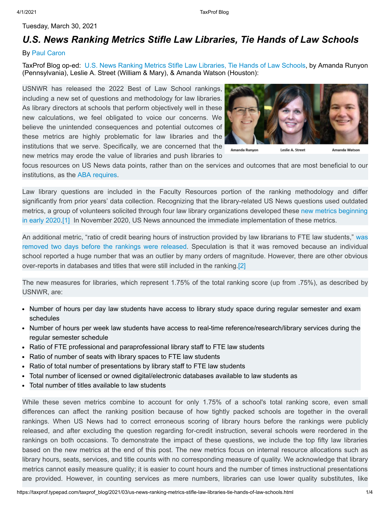## Tuesday, March 30, 2021

## *[U.S. News Ranking Metrics Stifle Law Libraries, Tie Hands of Law Schools](https://taxprof.typepad.com/taxprof_blog/2021/03/us-news-ranking-metrics-stifle-law-libraries-tie-hands-of-law-schools.html)*

### By [Paul Caron](https://taxprof.typepad.com/taxprof_blog/2021/03/us-news-ranking-metrics-stifle-law-libraries-tie-hands-of-law-schools.html#)

TaxProf Blog op-ed: [U.S. News Ranking Metrics Stifle Law Libraries, Tie Hands of Law Schools,](https://taxprof.typepad.com/files/lawlibraryblogfortaxprof-1.pdf) by Amanda Runyon (Pennsylvania), Leslie A. Street (William & Mary), & Amanda Watson (Houston):

USNWR has released the 2022 Best of Law School rankings, including a new set of questions and methodology for law libraries. As library directors at schools that perform objectively well in these new calculations, we feel obligated to voice our concerns. We believe the unintended consequences and potential outcomes of these metrics are highly problematic for law libraries and the institutions that we serve. Specifically, we are concerned that the new metrics may erode the value of libraries and push libraries t[o](https://taxprof.typepad.com/.a/6a00d8341c4eab53ef0263e99a4dcb200b-popup)



Amanda Runyon Leslie A. Street Amanda Watson

focus resources on US News data points, rather than on the services and outcomes that are most beneficial to our institutions, as the [ABA requires](https://www.americanbar.org/content/dam/aba/administrative/legal_education_and_admissions_to_the_bar/standards/2020-2021/2020-21-aba-standards-and-rules-chapter6.pdf).

Law library questions are included in the Faculty Resources portion of the ranking methodology and differ significantly from prior years' data collection. Recognizing that the library-related US News questions used outdated metrics, a group of volunteers solicited through four law library organizations developed these new metrics beginning [in early 2020.\[1\] In November 2020, US News announced the immediate implementation of these metrics.](https://www.nellco.org/general/custom.asp?page=usnews)

An additional metric, "ratio of credit bearing hours of instruction provided by law librarians to FTE law students," was [removed two days before the rankings were released. Speculation is that it was removed because an individual](https://taxprof.typepad.com/taxprof_blog/2021/03/us-news-issues-third-version-of-law-school-rankings-in-advance-of-their-public-release-on-tuesday-12.html) school reported a huge number that was an outlier by many orders of magnitude. However, there are other obvious over-reports in databases and titles that were still included in the ranking.[\[2\]](https://taxprof.typepad.com/taxprof_blog/2021/03/us-news-ranking-metrics-stifle-law-libraries-tie-hands-of-law-schools.html#_ftn2)

The new measures for libraries, which represent 1.75% of the total ranking score (up from .75%), as described by USNWR, are:

- Number of hours per day law students have access to library study space during regular semester and exam schedules
- Number of hours per week law students have access to real-time reference/research/library services during the regular semester schedule
- Ratio of FTE professional and paraprofessional library staff to FTE law students
- Ratio of number of seats with library spaces to FTE law students
- Ratio of total number of presentations by library staff to FTE law students
- Total number of licensed or owned digital/electronic databases available to law students as
- Total number of titles available to law students

While these seven metrics combine to account for only 1.75% of a school's total ranking score, even small differences can affect the ranking position because of how tightly packed schools are together in the overall rankings. When US News had to correct erroneous scoring of library hours before the rankings were publicly released, and after excluding the question regarding for-credit instruction, several schools were reordered in the rankings on both occasions. To demonstrate the impact of these questions, we include the top fifty law libraries based on the new metrics at the end of this post. The new metrics focus on internal resource allocations such as library hours, seats, services, and title counts with no corresponding measure of quality. We acknowledge that library metrics cannot easily measure quality; it is easier to count hours and the number of times instructional presentations are provided. However, in counting services as mere numbers, libraries can use lower quality substitutes, like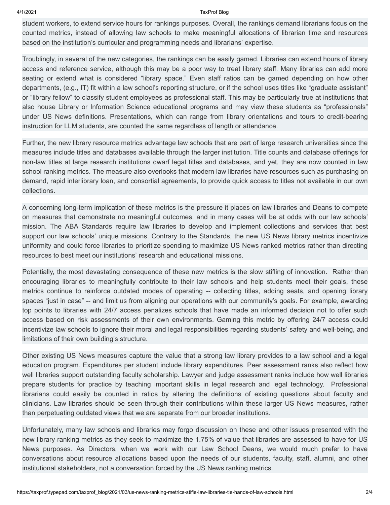#### 4/1/2021 TaxProf Blog

student workers, to extend service hours for rankings purposes. Overall, the rankings demand librarians focus on the counted metrics, instead of allowing law schools to make meaningful allocations of librarian time and resources based on the institution's curricular and programming needs and librarians' expertise.

Troublingly, in several of the new categories, the rankings can be easily gamed. Libraries can extend hours of library access and reference service, although this may be a poor way to treat library staff. Many libraries can add more seating or extend what is considered "library space." Even staff ratios can be gamed depending on how other departments, (e.g., IT) fit within a law school's reporting structure, or if the school uses titles like "graduate assistant" or "library fellow" to classify student employees as professional staff. This may be particularly true at institutions that also house Library or Information Science educational programs and may view these students as "professionals" under US News definitions. Presentations, which can range from library orientations and tours to credit-bearing instruction for LLM students, are counted the same regardless of length or attendance.

Further, the new library resource metrics advantage law schools that are part of large research universities since the measures include titles and databases available through the larger institution. Title counts and database offerings for non-law titles at large research institutions dwarf legal titles and databases, and yet, they are now counted in law school ranking metrics. The measure also overlooks that modern law libraries have resources such as purchasing on demand, rapid interlibrary loan, and consortial agreements, to provide quick access to titles not available in our own collections.

A concerning long-term implication of these metrics is the pressure it places on law libraries and Deans to compete on measures that demonstrate no meaningful outcomes, and in many cases will be at odds with our law schools' mission. The ABA Standards require law libraries to develop and implement collections and services that best support our law schools' unique missions. Contrary to the Standards, the new US News library metrics incentivize uniformity and could force libraries to prioritize spending to maximize US News ranked metrics rather than directing resources to best meet our institutions' research and educational missions.

Potentially, the most devastating consequence of these new metrics is the slow stifling of innovation. Rather than encouraging libraries to meaningfully contribute to their law schools and help students meet their goals, these metrics continue to reinforce outdated modes of operating -- collecting titles, adding seats, and opening library spaces "just in case" -- and limit us from aligning our operations with our community's goals. For example, awarding top points to libraries with 24/7 access penalizes schools that have made an informed decision not to offer such access based on risk assessments of their own environments. Gaming this metric by offering 24/7 access could incentivize law schools to ignore their moral and legal responsibilities regarding students' safety and well-being, and limitations of their own building's structure.

Other existing US News measures capture the value that a strong law library provides to a law school and a legal education program. Expenditures per student include library expenditures. Peer assessment ranks also reflect how well libraries support outstanding faculty scholarship. Lawyer and judge assessment ranks include how well libraries prepare students for practice by teaching important skills in legal research and legal technology. Professional librarians could easily be counted in ratios by altering the definitions of existing questions about faculty and clinicians. Law libraries should be seen through their contributions within these larger US News measures, rather than perpetuating outdated views that we are separate from our broader institutions.

Unfortunately, many law schools and libraries may forgo discussion on these and other issues presented with the new library ranking metrics as they seek to maximize the 1.75% of value that libraries are assessed to have for US News purposes. As Directors, when we work with our Law School Deans, we would much prefer to have conversations about resource allocations based upon the needs of our students, faculty, staff, alumni, and other institutional stakeholders, not a conversation forced by the US News ranking metrics.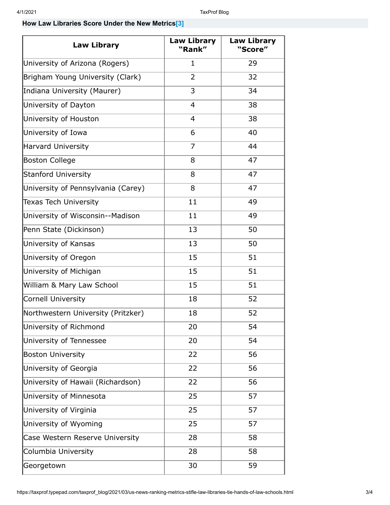## **How Law Libraries Score Under the New Metrics[\[3\]](https://taxprof.typepad.com/taxprof_blog/2021/03/us-news-ranking-metrics-stifle-law-libraries-tie-hands-of-law-schools.html#_ftn1)**

| <b>Law Library</b>                 | Law Library<br>"Rank" | <b>Law Library</b><br>"Score" |
|------------------------------------|-----------------------|-------------------------------|
| University of Arizona (Rogers)     | $\mathbf{1}$          | 29                            |
| Brigham Young University (Clark)   | $\overline{2}$        | 32                            |
| Indiana University (Maurer)        | 3                     | 34                            |
| University of Dayton               | $\overline{4}$        | 38                            |
| University of Houston              | $\overline{4}$        | 38                            |
| University of Iowa                 | 6                     | 40                            |
| <b>Harvard University</b>          | $\overline{7}$        | 44                            |
| <b>Boston College</b>              | 8                     | 47                            |
| <b>Stanford University</b>         | 8                     | 47                            |
| University of Pennsylvania (Carey) | 8                     | 47                            |
| <b>Texas Tech University</b>       | 11                    | 49                            |
| University of Wisconsin--Madison   | 11                    | 49                            |
| Penn State (Dickinson)             | 13                    | 50                            |
| University of Kansas               | 13                    | 50                            |
| University of Oregon               | 15                    | 51                            |
| University of Michigan             | 15                    | 51                            |
| William & Mary Law School          | 15                    | 51                            |
| <b>Cornell University</b>          | 18                    | 52                            |
| Northwestern University (Pritzker) | 18                    | 52                            |
| University of Richmond             | 20                    | 54                            |
| University of Tennessee            | 20                    | 54                            |
| <b>Boston University</b>           | 22                    | 56                            |
| University of Georgia              | 22                    | 56                            |
| University of Hawaii (Richardson)  | 22                    | 56                            |
| University of Minnesota            | 25                    | 57                            |
| University of Virginia             | 25                    | 57                            |
| University of Wyoming              | 25                    | 57                            |
| Case Western Reserve University    | 28                    | 58                            |
| Columbia University                | 28                    | 58                            |
| Georgetown                         | 30                    | 59                            |